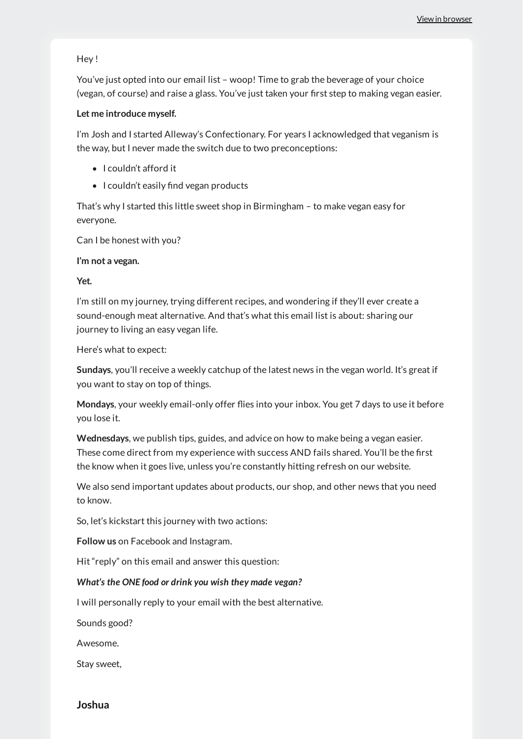### Hey !

You've just opted into our email list – woop! Time to grab the beverage of your choice (vegan, of course) and raise a glass. You've just taken your first step to making vegan easier.

### **Let me introduce myself.**

I'm Josh and I started Alleway's Confectionary. For years I acknowledged that veganism is the way, but I never made the switch due to two preconceptions:

- I couldn't afford it
- I couldn't easily find vegan products

That's why I started this little sweet shop in Birmingham – to make vegan easy for everyone.

Can I be honest with you?

### **I'm not a vegan.**

### **Yet.**

I'm still on my journey, trying different recipes, and wondering if they'll ever create a sound-enough meat alternative. And that's what this email list is about: sharing our journey to living an easy vegan life.

Here's what to expect:

**Sundays**, you'll receive a weekly catchup of the latest news in the vegan world. It's great if you want to stay on top of things.

Mondays, your weekly email-only offer flies into your inbox. You get 7 days to use it before you lose it.

**Wednesdays**, we publish tips, guides, and advice on how to make being a vegan easier. These come direct from my experience with success AND fails shared. You'll be the first the know when it goes live, unless you're constantly hitting refresh on our website.

We also send important updates about products, our shop, and other news that you need to know.

So, let's kickstart this journey with two actions:

**Follow us** on Facebook and Instagram.

Hit "reply" on this email and answer this question:

## *What's the ONE food or drink you wish they made vegan?*

I will personally reply to your email with the best alternative.

Sounds good?

Awesome.

Stay sweet,

# **Joshua**